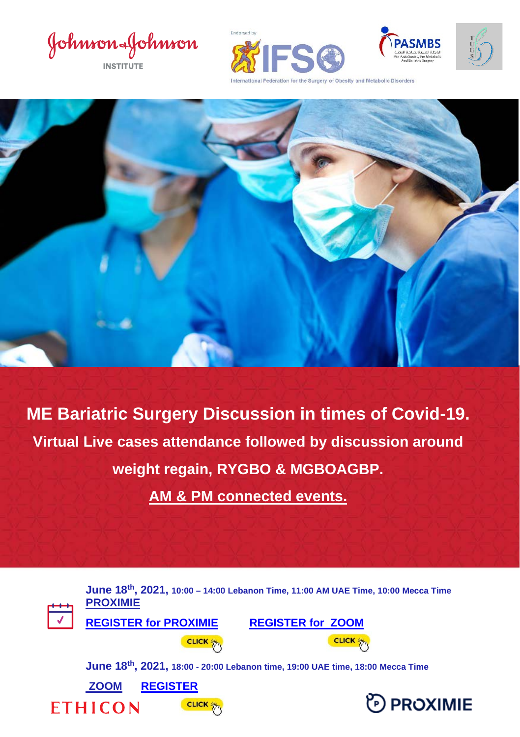Johnson&Johnson





**ME Bariatric Surgery Discussion in times of Covid-19. Virtual Live cases attendance followed by discussion around weight regain, RYGBO & MGBOAGBP.**

**AM & PM connected events.**

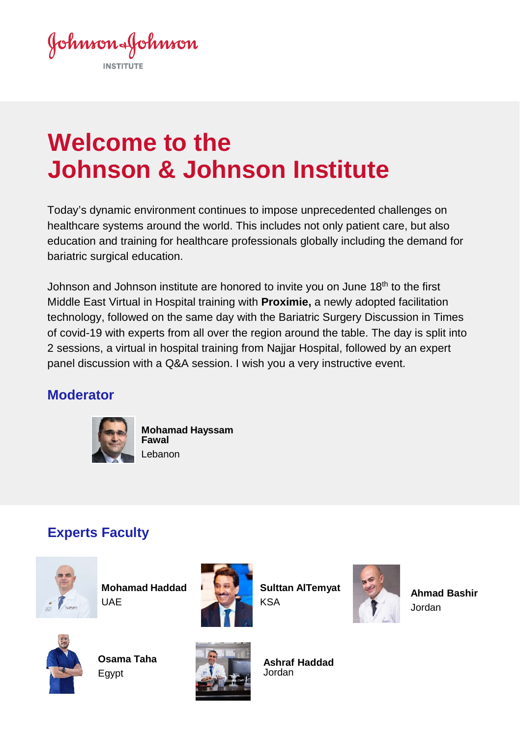Johnson&Johnson

# **Welcome to the Johnson & Johnson Institute**

Today's dynamic environment continues to impose unprecedented challenges on healthcare systems around the world. This includes not only patient care, but also education and training for healthcare professionals globally including the demand for bariatric surgical education.

Johnson and Johnson institute are honored to invite you on June 18<sup>th</sup> to the first Middle East Virtual in Hospital training with **Proximie,** a newly adopted facilitation technology, followed on the same day with the Bariatric Surgery Discussion in Times of covid-19 with experts from all over the region around the table. The day is split into 2 sessions, a virtual in hospital training from Najjar Hospital, followed by an expert panel discussion with a Q&A session. I wish you a very instructive event.

#### **Moderator**



**Mohamad Hayssam Fawal** Lebanon

### **Experts Faculty**



**Mohamad Haddad** UAE



**Sulttan AlTemyat** KSA



**Ahmad Bashir**  Jordan



**Osama Taha**  Egypt



**Ashraf Haddad**  Jordan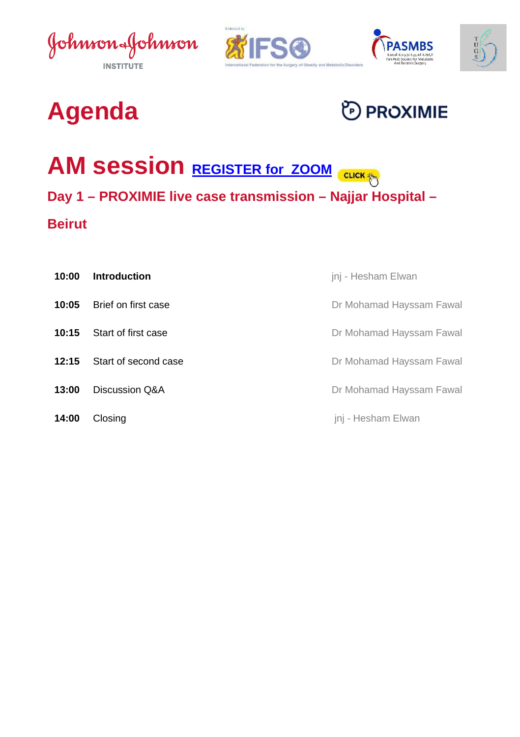





# **Agenda**

# **D** PROXIMIE

# **AM** Session **REGISTER for ZOOM** CUCK

#### **Day 1 – PROXIMIE live case transmission – Najjar Hospital –**

### **Beirut**

| 10:00 | <b>Introduction</b>  | jnj - Hesham Elwan       |
|-------|----------------------|--------------------------|
| 10:05 | Brief on first case  | Dr Mohamad Hayssam Fawal |
| 10:15 | Start of first case  | Dr Mohamad Hayssam Fawal |
| 12:15 | Start of second case | Dr Mohamad Hayssam Fawal |
| 13:00 | Discussion Q&A       | Dr Mohamad Hayssam Fawal |
| 14:00 | Closing              | jnj - Hesham Elwan       |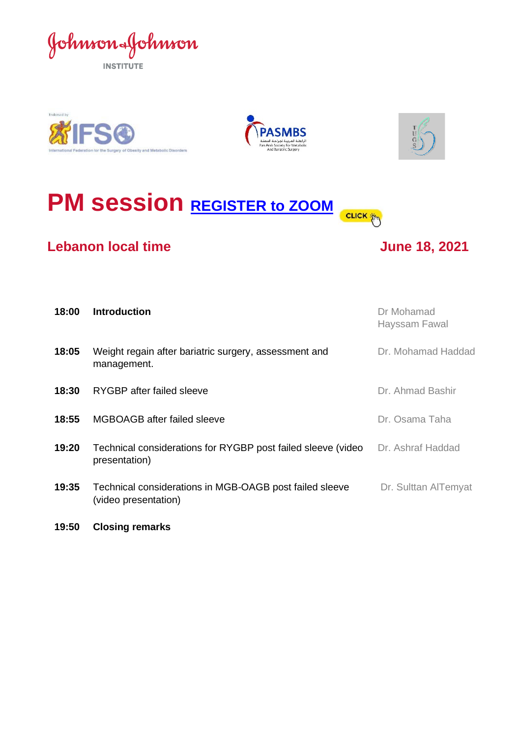







## **PM session REGISTER** [to ZOOM](https://cvent.me/mAgBWB) **CLICK**

#### **Lebanon local time June 18, 2021**



| 18:00 | <b>Introduction</b>                                                             | Dr Mohamad<br>Hayssam Fawal |
|-------|---------------------------------------------------------------------------------|-----------------------------|
| 18:05 | Weight regain after bariatric surgery, assessment and<br>management.            | Dr. Mohamad Haddad          |
| 18:30 | RYGBP after failed sleeve                                                       | Dr. Ahmad Bashir            |
| 18:55 | MGBOAGB after failed sleeve                                                     | Dr. Osama Taha              |
| 19:20 | Technical considerations for RYGBP post failed sleeve (video<br>presentation)   | Dr. Ashraf Haddad           |
| 19:35 | Technical considerations in MGB-OAGB post failed sleeve<br>(video presentation) | Dr. Sulttan AlTemyat        |
|       |                                                                                 |                             |

**19:50 Closing remarks**